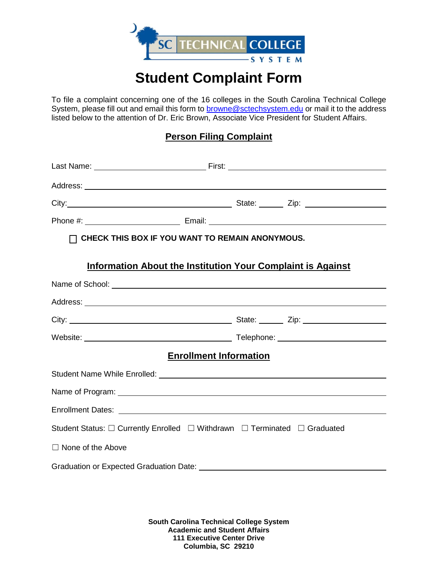

## **Student Complaint Form**

To file a complaint concerning one of the 16 colleges in the South Carolina Technical College System, please fill out and email this form to **browne@sctechsystem.edu** or mail it to the address listed below to the attention of Dr. Eric Brown, Associate Vice President for Student Affairs.

## **Person Filing Complaint**

|                                                                           | $\Box$ CHECK THIS BOX IF YOU WANT TO REMAIN ANONYMOUS.             |  |  |
|---------------------------------------------------------------------------|--------------------------------------------------------------------|--|--|
|                                                                           | <b>Information About the Institution Your Complaint is Against</b> |  |  |
|                                                                           |                                                                    |  |  |
|                                                                           |                                                                    |  |  |
|                                                                           |                                                                    |  |  |
|                                                                           |                                                                    |  |  |
| <b>Enrollment Information</b>                                             |                                                                    |  |  |
|                                                                           |                                                                    |  |  |
|                                                                           |                                                                    |  |  |
|                                                                           |                                                                    |  |  |
| Student Status: □ Currently Enrolled □ Withdrawn □ Terminated □ Graduated |                                                                    |  |  |
| $\Box$ None of the Above                                                  |                                                                    |  |  |
|                                                                           |                                                                    |  |  |

**South Carolina Technical College System Academic and Student Affairs 111 Executive Center Drive Columbia, SC 29210**